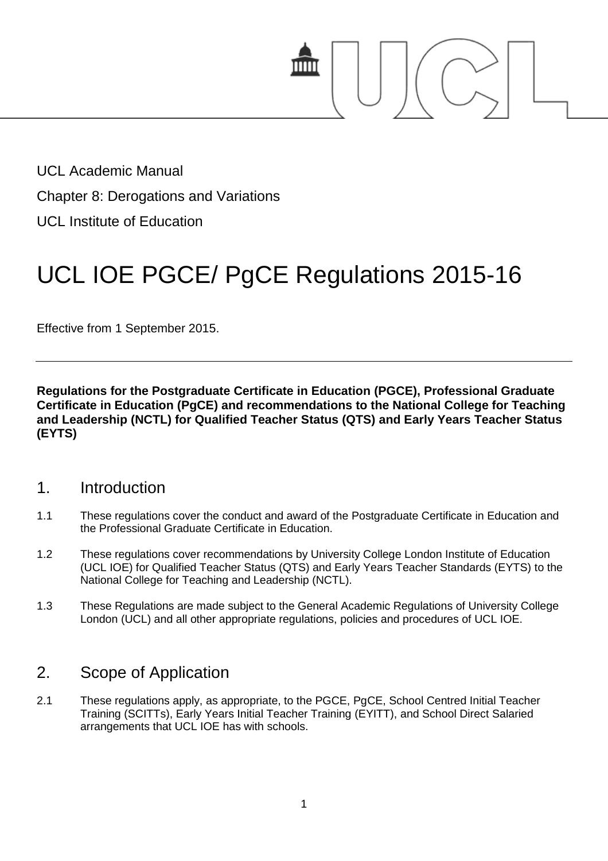

UCL Academic Manual Chapter 8: Derogations and Variations UCL Institute of Education

# UCL IOE PGCE/ PgCE Regulations 2015-16

Effective from 1 September 2015.

**Regulations for the Postgraduate Certificate in Education (PGCE), Professional Graduate Certificate in Education (PgCE) and recommendations to the National College for Teaching and Leadership (NCTL) for Qualified Teacher Status (QTS) and Early Years Teacher Status (EYTS)**

## 1. Introduction

- 1.1 These regulations cover the conduct and award of the Postgraduate Certificate in Education and the Professional Graduate Certificate in Education.
- 1.2 These regulations cover recommendations by University College London Institute of Education (UCL IOE) for Qualified Teacher Status (QTS) and Early Years Teacher Standards (EYTS) to the National College for Teaching and Leadership (NCTL).
- 1.3 These Regulations are made subject to the General Academic Regulations of University College London (UCL) and all other appropriate regulations, policies and procedures of UCL IOE.

## 2. Scope of Application

2.1 These regulations apply, as appropriate, to the PGCE, PgCE, School Centred Initial Teacher Training (SCITTs), Early Years Initial Teacher Training (EYITT), and School Direct Salaried arrangements that UCL IOE has with schools.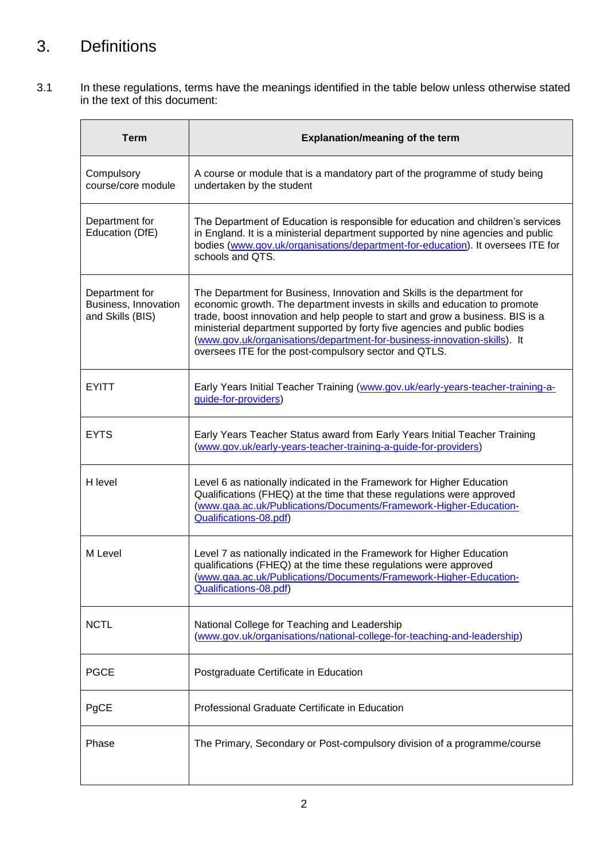# 3. Definitions

3.1 In these regulations, terms have the meanings identified in the table below unless otherwise stated in the text of this document:

| <b>Term</b>                                                | <b>Explanation/meaning of the term</b>                                                                                                                                                                                                                                                                                                                                                                                                                     |
|------------------------------------------------------------|------------------------------------------------------------------------------------------------------------------------------------------------------------------------------------------------------------------------------------------------------------------------------------------------------------------------------------------------------------------------------------------------------------------------------------------------------------|
| Compulsory<br>course/core module                           | A course or module that is a mandatory part of the programme of study being<br>undertaken by the student                                                                                                                                                                                                                                                                                                                                                   |
| Department for<br>Education (DfE)                          | The Department of Education is responsible for education and children's services<br>in England. It is a ministerial department supported by nine agencies and public<br>bodies (www.gov.uk/organisations/department-for-education). It oversees ITE for<br>schools and QTS.                                                                                                                                                                                |
| Department for<br>Business, Innovation<br>and Skills (BIS) | The Department for Business, Innovation and Skills is the department for<br>economic growth. The department invests in skills and education to promote<br>trade, boost innovation and help people to start and grow a business. BIS is a<br>ministerial department supported by forty five agencies and public bodies<br>(www.gov.uk/organisations/department-for-business-innovation-skills). It<br>oversees ITE for the post-compulsory sector and QTLS. |
| <b>EYITT</b>                                               | Early Years Initial Teacher Training (www.gov.uk/early-years-teacher-training-a-<br>guide-for-providers)                                                                                                                                                                                                                                                                                                                                                   |
| <b>EYTS</b>                                                | Early Years Teacher Status award from Early Years Initial Teacher Training<br>(www.gov.uk/early-years-teacher-training-a-guide-for-providers)                                                                                                                                                                                                                                                                                                              |
| H level                                                    | Level 6 as nationally indicated in the Framework for Higher Education<br>Qualifications (FHEQ) at the time that these regulations were approved<br>(www.qaa.ac.uk/Publications/Documents/Framework-Higher-Education-<br>Qualifications-08.pdf)                                                                                                                                                                                                             |
| M Level                                                    | Level 7 as nationally indicated in the Framework for Higher Education<br>qualifications (FHEQ) at the time these regulations were approved<br>(www.qaa.ac.uk/Publications/Documents/Framework-Higher-Education-<br>Qualifications-08.pdf)                                                                                                                                                                                                                  |
| <b>NCTL</b>                                                | National College for Teaching and Leadership<br>(www.gov.uk/organisations/national-college-for-teaching-and-leadership)                                                                                                                                                                                                                                                                                                                                    |
| <b>PGCE</b>                                                | Postgraduate Certificate in Education                                                                                                                                                                                                                                                                                                                                                                                                                      |
| PgCE                                                       | Professional Graduate Certificate in Education                                                                                                                                                                                                                                                                                                                                                                                                             |
| Phase                                                      | The Primary, Secondary or Post-compulsory division of a programme/course                                                                                                                                                                                                                                                                                                                                                                                   |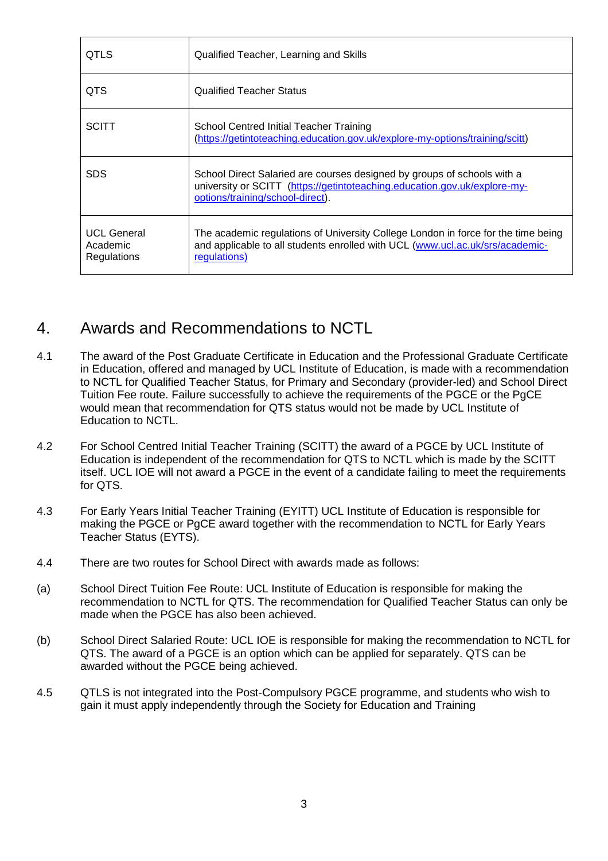| <b>QTLS</b>                                   | Qualified Teacher, Learning and Skills                                                                                                                                                   |
|-----------------------------------------------|------------------------------------------------------------------------------------------------------------------------------------------------------------------------------------------|
| QTS                                           | <b>Qualified Teacher Status</b>                                                                                                                                                          |
| <b>SCITT</b>                                  | School Centred Initial Teacher Training<br>(https://getintoteaching.education.gov.uk/explore-my-options/training/scitt)                                                                  |
| SDS                                           | School Direct Salaried are courses designed by groups of schools with a<br>university or SCITT (https://getintoteaching.education.gov.uk/explore-my-<br>options/training/school-direct). |
| <b>UCL General</b><br>Academic<br>Regulations | The academic regulations of University College London in force for the time being<br>and applicable to all students enrolled with UCL (www.ucl.ac.uk/srs/academic-<br>regulations)       |

# 4. Awards and Recommendations to NCTL

- 4.1 The award of the Post Graduate Certificate in Education and the Professional Graduate Certificate in Education, offered and managed by UCL Institute of Education, is made with a recommendation to NCTL for Qualified Teacher Status, for Primary and Secondary (provider-led) and School Direct Tuition Fee route. Failure successfully to achieve the requirements of the PGCE or the PgCE would mean that recommendation for QTS status would not be made by UCL Institute of Education to NCTL.
- 4.2 For School Centred Initial Teacher Training (SCITT) the award of a PGCE by UCL Institute of Education is independent of the recommendation for QTS to NCTL which is made by the SCITT itself. UCL IOE will not award a PGCE in the event of a candidate failing to meet the requirements for QTS.
- 4.3 For Early Years Initial Teacher Training (EYITT) UCL Institute of Education is responsible for making the PGCE or PgCE award together with the recommendation to NCTL for Early Years Teacher Status (EYTS).
- 4.4 There are two routes for School Direct with awards made as follows:
- (a) School Direct Tuition Fee Route: UCL Institute of Education is responsible for making the recommendation to NCTL for QTS. The recommendation for Qualified Teacher Status can only be made when the PGCE has also been achieved.
- (b) School Direct Salaried Route: UCL IOE is responsible for making the recommendation to NCTL for QTS. The award of a PGCE is an option which can be applied for separately. QTS can be awarded without the PGCE being achieved.
- 4.5 QTLS is not integrated into the Post-Compulsory PGCE programme, and students who wish to gain it must apply independently through the Society for Education and Training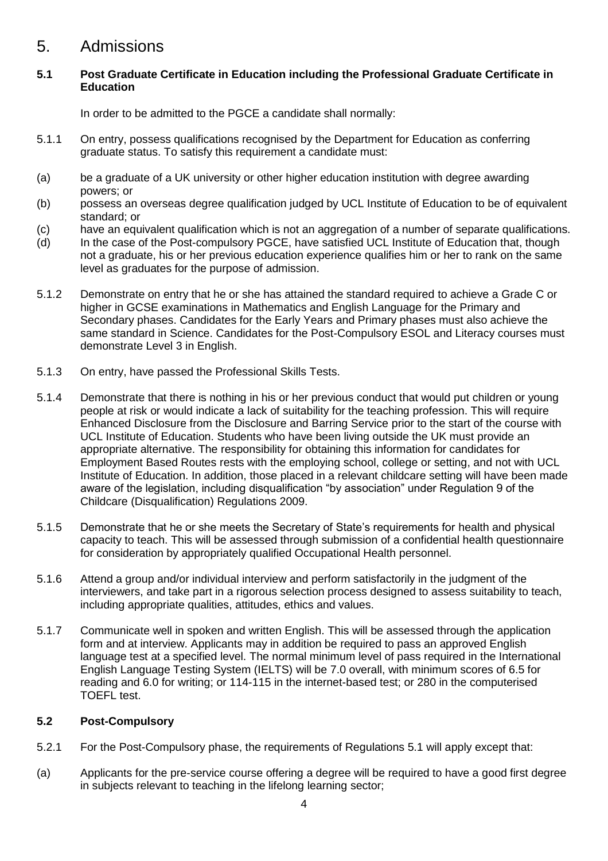## 5. Admissions

#### **5.1 Post Graduate Certificate in Education including the Professional Graduate Certificate in Education**

In order to be admitted to the PGCE a candidate shall normally:

- 5.1.1 On entry, possess qualifications recognised by the Department for Education as conferring graduate status. To satisfy this requirement a candidate must:
- (a) be a graduate of a UK university or other higher education institution with degree awarding powers; or
- (b) possess an overseas degree qualification judged by UCL Institute of Education to be of equivalent standard; or
- (c) have an equivalent qualification which is not an aggregation of a number of separate qualifications.
- (d) In the case of the Post-compulsory PGCE, have satisfied UCL Institute of Education that, though not a graduate, his or her previous education experience qualifies him or her to rank on the same level as graduates for the purpose of admission.
- 5.1.2 Demonstrate on entry that he or she has attained the standard required to achieve a Grade C or higher in GCSE examinations in Mathematics and English Language for the Primary and Secondary phases. Candidates for the Early Years and Primary phases must also achieve the same standard in Science. Candidates for the Post-Compulsory ESOL and Literacy courses must demonstrate Level 3 in English.
- 5.1.3 On entry, have passed the Professional Skills Tests.
- 5.1.4 Demonstrate that there is nothing in his or her previous conduct that would put children or young people at risk or would indicate a lack of suitability for the teaching profession. This will require Enhanced Disclosure from the Disclosure and Barring Service prior to the start of the course with UCL Institute of Education. Students who have been living outside the UK must provide an appropriate alternative. The responsibility for obtaining this information for candidates for Employment Based Routes rests with the employing school, college or setting, and not with UCL Institute of Education. In addition, those placed in a relevant childcare setting will have been made aware of the legislation, including disqualification "by association" under Regulation 9 of the Childcare (Disqualification) Regulations 2009.
- 5.1.5 Demonstrate that he or she meets the Secretary of State's requirements for health and physical capacity to teach. This will be assessed through submission of a confidential health questionnaire for consideration by appropriately qualified Occupational Health personnel.
- 5.1.6 Attend a group and/or individual interview and perform satisfactorily in the judgment of the interviewers, and take part in a rigorous selection process designed to assess suitability to teach, including appropriate qualities, attitudes, ethics and values.
- 5.1.7 Communicate well in spoken and written English. This will be assessed through the application form and at interview. Applicants may in addition be required to pass an approved English language test at a specified level. The normal minimum level of pass required in the International English Language Testing System (IELTS) will be 7.0 overall, with minimum scores of 6.5 for reading and 6.0 for writing; or 114-115 in the internet-based test; or 280 in the computerised TOEFL test.

#### **5.2 Post-Compulsory**

- 5.2.1 For the Post-Compulsory phase, the requirements of Regulations 5.1 will apply except that:
- (a) Applicants for the pre-service course offering a degree will be required to have a good first degree in subjects relevant to teaching in the lifelong learning sector;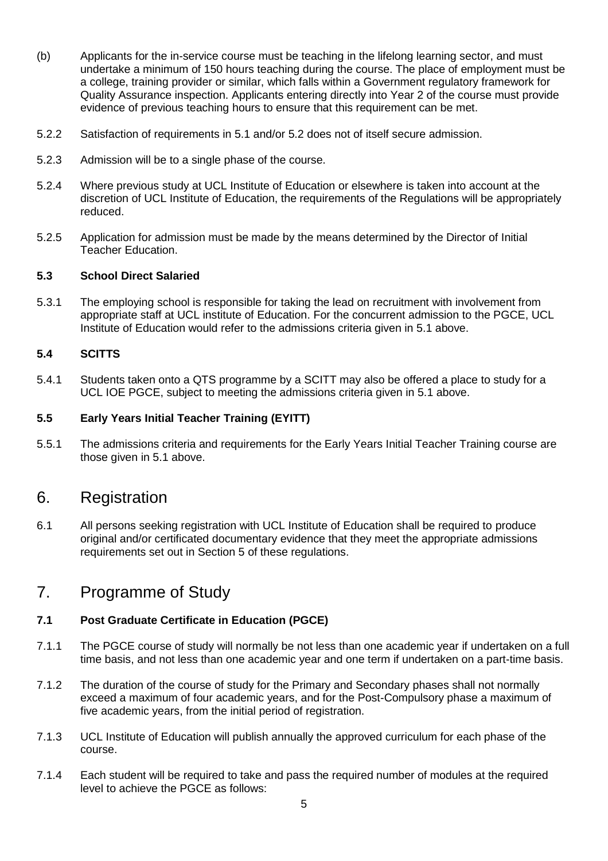- (b) Applicants for the in-service course must be teaching in the lifelong learning sector, and must undertake a minimum of 150 hours teaching during the course. The place of employment must be a college, training provider or similar, which falls within a Government regulatory framework for Quality Assurance inspection. Applicants entering directly into Year 2 of the course must provide evidence of previous teaching hours to ensure that this requirement can be met.
- 5.2.2 Satisfaction of requirements in 5.1 and/or 5.2 does not of itself secure admission.
- 5.2.3 Admission will be to a single phase of the course.
- 5.2.4 Where previous study at UCL Institute of Education or elsewhere is taken into account at the discretion of UCL Institute of Education, the requirements of the Regulations will be appropriately reduced.
- 5.2.5 Application for admission must be made by the means determined by the Director of Initial Teacher Education.

#### **5.3 School Direct Salaried**

5.3.1 The employing school is responsible for taking the lead on recruitment with involvement from appropriate staff at UCL institute of Education. For the concurrent admission to the PGCE, UCL Institute of Education would refer to the admissions criteria given in 5.1 above.

#### **5.4 SCITTS**

5.4.1 Students taken onto a QTS programme by a SCITT may also be offered a place to study for a UCL IOE PGCE, subject to meeting the admissions criteria given in 5.1 above.

#### **5.5 Early Years Initial Teacher Training (EYITT)**

5.5.1 The admissions criteria and requirements for the Early Years Initial Teacher Training course are those given in 5.1 above.

### 6. Registration

6.1 All persons seeking registration with UCL Institute of Education shall be required to produce original and/or certificated documentary evidence that they meet the appropriate admissions requirements set out in Section 5 of these regulations.

## 7. Programme of Study

#### **7.1 Post Graduate Certificate in Education (PGCE)**

- 7.1.1 The PGCE course of study will normally be not less than one academic year if undertaken on a full time basis, and not less than one academic year and one term if undertaken on a part-time basis.
- 7.1.2 The duration of the course of study for the Primary and Secondary phases shall not normally exceed a maximum of four academic years, and for the Post-Compulsory phase a maximum of five academic years, from the initial period of registration.
- 7.1.3 UCL Institute of Education will publish annually the approved curriculum for each phase of the course.
- 7.1.4 Each student will be required to take and pass the required number of modules at the required level to achieve the PGCE as follows: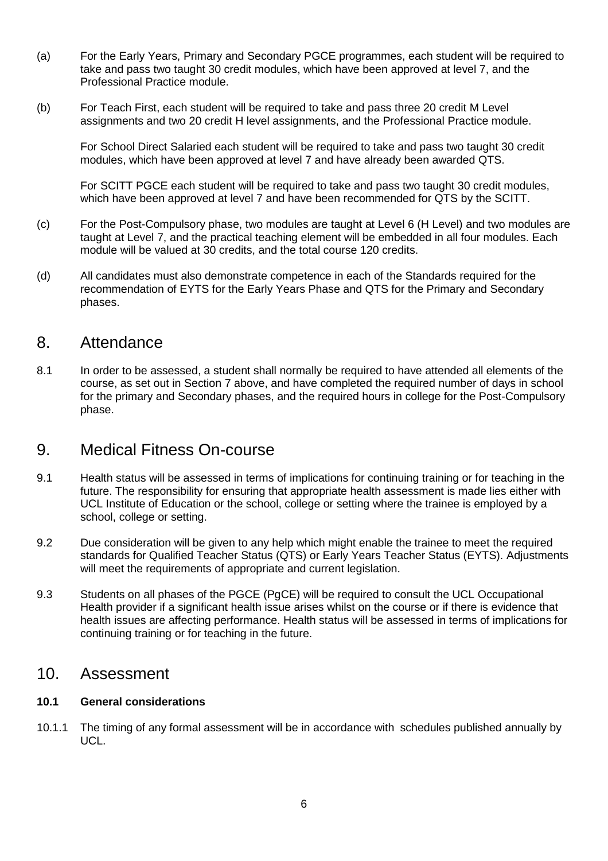- (a) For the Early Years, Primary and Secondary PGCE programmes, each student will be required to take and pass two taught 30 credit modules, which have been approved at level 7, and the Professional Practice module.
- (b) For Teach First, each student will be required to take and pass three 20 credit M Level assignments and two 20 credit H level assignments, and the Professional Practice module.

For School Direct Salaried each student will be required to take and pass two taught 30 credit modules, which have been approved at level 7 and have already been awarded QTS.

For SCITT PGCE each student will be required to take and pass two taught 30 credit modules, which have been approved at level 7 and have been recommended for QTS by the SCITT.

- (c) For the Post-Compulsory phase, two modules are taught at Level 6 (H Level) and two modules are taught at Level 7, and the practical teaching element will be embedded in all four modules. Each module will be valued at 30 credits, and the total course 120 credits.
- (d) All candidates must also demonstrate competence in each of the Standards required for the recommendation of EYTS for the Early Years Phase and QTS for the Primary and Secondary phases.

## 8. Attendance

8.1 In order to be assessed, a student shall normally be required to have attended all elements of the course, as set out in Section 7 above, and have completed the required number of days in school for the primary and Secondary phases, and the required hours in college for the Post-Compulsory phase.

## 9. Medical Fitness On-course

- 9.1 Health status will be assessed in terms of implications for continuing training or for teaching in the future. The responsibility for ensuring that appropriate health assessment is made lies either with UCL Institute of Education or the school, college or setting where the trainee is employed by a school, college or setting.
- 9.2 Due consideration will be given to any help which might enable the trainee to meet the required standards for Qualified Teacher Status (QTS) or Early Years Teacher Status (EYTS). Adjustments will meet the requirements of appropriate and current legislation.
- 9.3 Students on all phases of the PGCE (PgCE) will be required to consult the UCL Occupational Health provider if a significant health issue arises whilst on the course or if there is evidence that health issues are affecting performance. Health status will be assessed in terms of implications for continuing training or for teaching in the future.

### 10. Assessment

#### **10.1 General considerations**

10.1.1 The timing of any formal assessment will be in accordance with schedules published annually by UCL.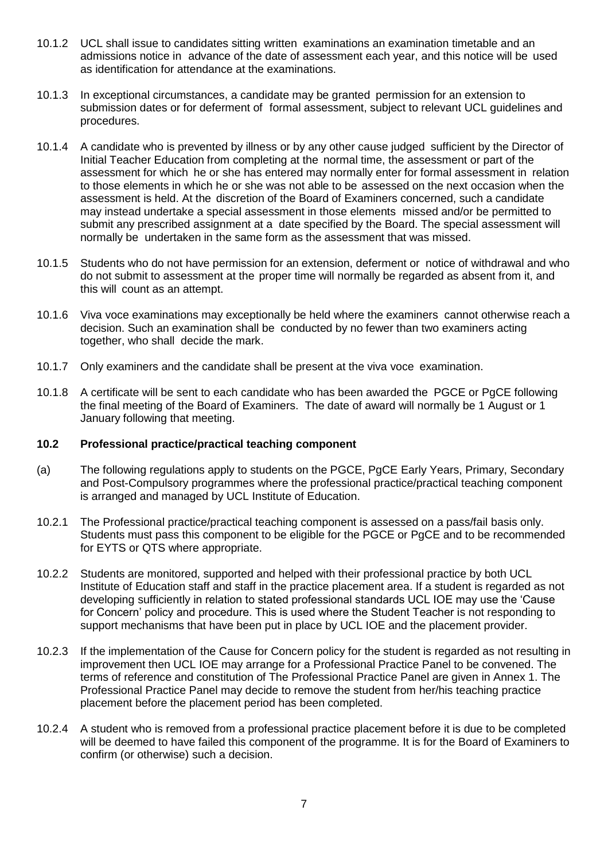- 10.1.2 UCL shall issue to candidates sitting written examinations an examination timetable and an admissions notice in advance of the date of assessment each year, and this notice will be used as identification for attendance at the examinations.
- 10.1.3 In exceptional circumstances, a candidate may be granted permission for an extension to submission dates or for deferment of formal assessment, subject to relevant UCL guidelines and procedures.
- 10.1.4 A candidate who is prevented by illness or by any other cause judged sufficient by the Director of Initial Teacher Education from completing at the normal time, the assessment or part of the assessment for which he or she has entered may normally enter for formal assessment in relation to those elements in which he or she was not able to be assessed on the next occasion when the assessment is held. At the discretion of the Board of Examiners concerned, such a candidate may instead undertake a special assessment in those elements missed and/or be permitted to submit any prescribed assignment at a date specified by the Board. The special assessment will normally be undertaken in the same form as the assessment that was missed.
- 10.1.5 Students who do not have permission for an extension, deferment or notice of withdrawal and who do not submit to assessment at the proper time will normally be regarded as absent from it, and this will count as an attempt.
- 10.1.6 Viva voce examinations may exceptionally be held where the examiners cannot otherwise reach a decision. Such an examination shall be conducted by no fewer than two examiners acting together, who shall decide the mark.
- 10.1.7 Only examiners and the candidate shall be present at the viva voce examination.
- 10.1.8 A certificate will be sent to each candidate who has been awarded the PGCE or PgCE following the final meeting of the Board of Examiners. The date of award will normally be 1 August or 1 January following that meeting.

#### **10.2 Professional practice/practical teaching component**

- (a) The following regulations apply to students on the PGCE, PgCE Early Years, Primary, Secondary and Post-Compulsory programmes where the professional practice/practical teaching component is arranged and managed by UCL Institute of Education.
- 10.2.1 The Professional practice/practical teaching component is assessed on a pass/fail basis only. Students must pass this component to be eligible for the PGCE or PgCE and to be recommended for EYTS or QTS where appropriate.
- 10.2.2 Students are monitored, supported and helped with their professional practice by both UCL Institute of Education staff and staff in the practice placement area. If a student is regarded as not developing sufficiently in relation to stated professional standards UCL IOE may use the 'Cause for Concern' policy and procedure. This is used where the Student Teacher is not responding to support mechanisms that have been put in place by UCL IOE and the placement provider.
- 10.2.3 If the implementation of the Cause for Concern policy for the student is regarded as not resulting in improvement then UCL IOE may arrange for a Professional Practice Panel to be convened. The terms of reference and constitution of The Professional Practice Panel are given in Annex 1. The Professional Practice Panel may decide to remove the student from her/his teaching practice placement before the placement period has been completed.
- 10.2.4 A student who is removed from a professional practice placement before it is due to be completed will be deemed to have failed this component of the programme. It is for the Board of Examiners to confirm (or otherwise) such a decision.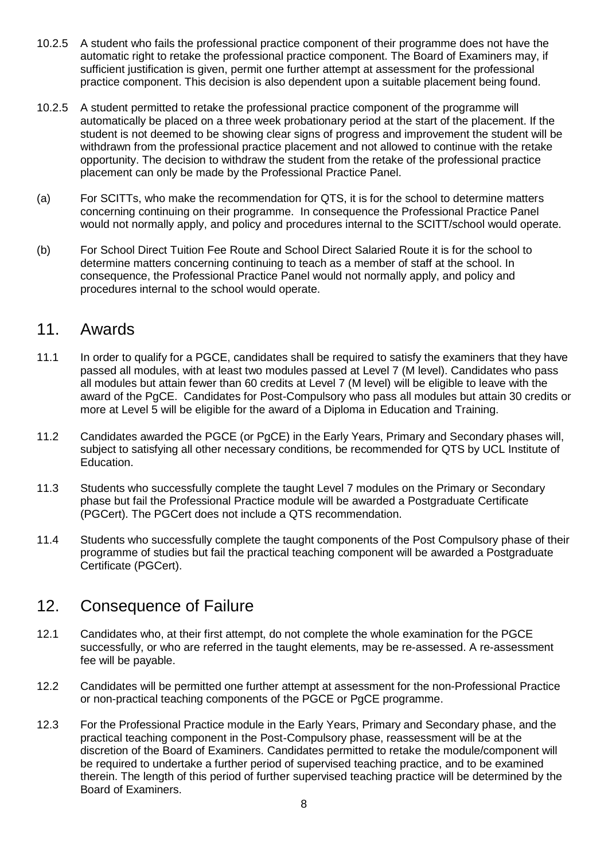- 10.2.5 A student who fails the professional practice component of their programme does not have the automatic right to retake the professional practice component. The Board of Examiners may, if sufficient justification is given, permit one further attempt at assessment for the professional practice component. This decision is also dependent upon a suitable placement being found.
- 10.2.5 A student permitted to retake the professional practice component of the programme will automatically be placed on a three week probationary period at the start of the placement. If the student is not deemed to be showing clear signs of progress and improvement the student will be withdrawn from the professional practice placement and not allowed to continue with the retake opportunity. The decision to withdraw the student from the retake of the professional practice placement can only be made by the Professional Practice Panel.
- (a) For SCITTs, who make the recommendation for QTS, it is for the school to determine matters concerning continuing on their programme. In consequence the Professional Practice Panel would not normally apply, and policy and procedures internal to the SCITT/school would operate.
- (b) For School Direct Tuition Fee Route and School Direct Salaried Route it is for the school to determine matters concerning continuing to teach as a member of staff at the school. In consequence, the Professional Practice Panel would not normally apply, and policy and procedures internal to the school would operate.

## 11. Awards

- 11.1 In order to qualify for a PGCE, candidates shall be required to satisfy the examiners that they have passed all modules, with at least two modules passed at Level 7 (M level). Candidates who pass all modules but attain fewer than 60 credits at Level 7 (M level) will be eligible to leave with the award of the PgCE. Candidates for Post-Compulsory who pass all modules but attain 30 credits or more at Level 5 will be eligible for the award of a Diploma in Education and Training.
- 11.2 Candidates awarded the PGCE (or PgCE) in the Early Years, Primary and Secondary phases will, subject to satisfying all other necessary conditions, be recommended for QTS by UCL Institute of Education.
- 11.3 Students who successfully complete the taught Level 7 modules on the Primary or Secondary phase but fail the Professional Practice module will be awarded a Postgraduate Certificate (PGCert). The PGCert does not include a QTS recommendation.
- 11.4 Students who successfully complete the taught components of the Post Compulsory phase of their programme of studies but fail the practical teaching component will be awarded a Postgraduate Certificate (PGCert).

# 12. Consequence of Failure

- 12.1 Candidates who, at their first attempt, do not complete the whole examination for the PGCE successfully, or who are referred in the taught elements, may be re-assessed. A re-assessment fee will be payable.
- 12.2 Candidates will be permitted one further attempt at assessment for the non-Professional Practice or non-practical teaching components of the PGCE or PgCE programme.
- 12.3 For the Professional Practice module in the Early Years, Primary and Secondary phase, and the practical teaching component in the Post-Compulsory phase, reassessment will be at the discretion of the Board of Examiners. Candidates permitted to retake the module/component will be required to undertake a further period of supervised teaching practice, and to be examined therein. The length of this period of further supervised teaching practice will be determined by the Board of Examiners.